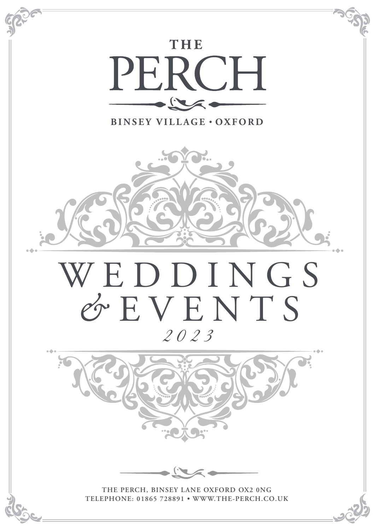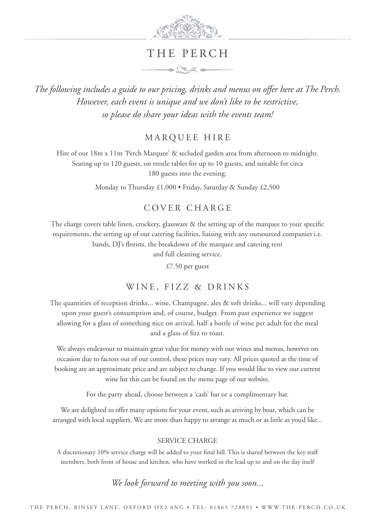

# THE PERCH

 $\rightarrow$ 

*The following includes a guide to our pricing, drinks and menus on offer here at The Perch. However, each event is unique and we don't like to be restrictive, so please do share your ideas with the events team!*

MARQUEE HIRE

Hire of our 18m x 11m 'Perch Marquee' & secluded garden area from afternoon to midnight. Seating up to 120 guests, on trestle tables for up to 10 guests, and suitable for circa 180 guests into the evening.

Monday to Thursday £1,000 • Friday, Saturday & Sunday £2,500

## C O V E R C H A R G E

The charge covers table linen, crockery, glassware & the setting up of the marquee to your specific requirements, the setting up of our catering facilities, liaising with any outsourced companies i.e. bands, DJ's florists, the breakdown of the marquee and catering tent

and full cleaning service.

£7.50 per guest

### WINE, FIZZ & DRINKS

The quantities of reception drinks... wine, Champagne, ales & soft drinks... will vary depending upon your guest's consumption and, of course, budget. From past experience we suggest allowing for a glass of something nice on arrival, half a bottle of wine per adult for the meal and a glass of fizz to toast.

We always endeavour to maintain great value for money with our wines and menus, however on occasion due to factors out of our control, these prices may vary. All prices quoted at the time of booking are an approximate price and are subject to change. If you would like to view our current wine list this can be found on the menu page of our website.

For the party ahead, choose between a 'cash' bar or a complimentary bar.

We are delighted to offer many options for your event, such as arriving by boat, which can be arranged with local suppliers. We are more than happy to arrange as much or as little as you'd like...

### SERVICE CHARGE

A discretionary 10% service charge will be added to your final bill. This is shared between the key staff members, both front of house and kitchen, who have worked in the lead up to and on the day itself

*We look forward to meeting with you soon...*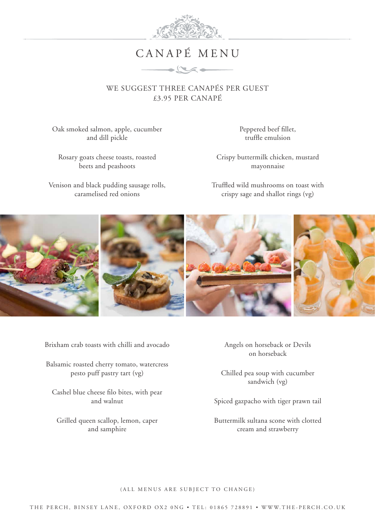

# CANAPÉ MENU

 $\longrightarrow \infty$ 

WE SUGGEST THREE CANAPÉS PER GUEST £3.95 PER CANAPÉ

Oak smoked salmon, apple, cucumber and dill pickle

Rosary goats cheese toasts, roasted beets and peashoots

Venison and black pudding sausage rolls, caramelised red onions

Peppered beef fillet, truffle emulsion

Crispy buttermilk chicken, mustard mayonnaise

Truffled wild mushrooms on toast with crispy sage and shallot rings (vg)



Brixham crab toasts with chilli and avocado

Balsamic roasted cherry tomato, watercress pesto puff pastry tart (vg)

Cashel blue cheese filo bites, with pear and walnut

Grilled queen scallop, lemon, caper and samphire

Angels on horseback or Devils on horseback

Chilled pea soup with cucumber sandwich (vg)

Spiced gazpacho with tiger prawn tail

Buttermilk sultana scone with clotted cream and strawberry

(ALL MENUS ARE SUBJECT TO CHANGE)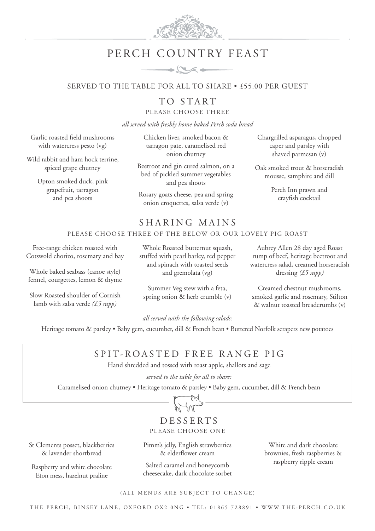

# PERCH COUNTRY FEAST



## SERVED TO THE TABLE FOR ALL TO SHARE • £55.00 PER GUEST

TO START PLEASE CHOOSE THREE

*all served with freshly home baked Perch soda bread*

Garlic roasted field mushrooms with watercress pesto (vg)

Wild rabbit and ham hock terrine, spiced grape chutney

> Upton smoked duck, pink grapefruit, tarragon and pea shoots

Chicken liver, smoked bacon & tarragon pate, caramelised red onion chutney

Beetroot and gin cured salmon, on a bed of pickled summer vegetables and pea shoots

Rosary goats cheese, pea and spring onion croquettes, salsa verde (v)

Chargrilled asparagus, chopped caper and parsley with shaved parmesan (v)

Oak smoked trout & horseradish mousse, samphire and dill

> Perch Inn prawn and crayfish cocktail

## SHARING MAINS

### PLEASE CHOOSE THREE OF THE BELOW OR OUR LOVELY PIG ROAST

Free-range chicken roasted with Cotswold chorizo, rosemary and bay

Whole baked seabass (canoe style) fennel, courgettes, lemon & thyme

Slow Roasted shoulder of Cornish lamb with salsa verde *(£5 supp)*

Whole Roasted butternut squash, stuffed with pearl barley, red pepper and spinach with toasted seeds and gremolata (vg)

Summer Veg stew with a feta, spring onion & herb crumble (v)

Aubrey Allen 28 day aged Roast rump of beef, heritage beetroot and watercress salad, creamed horseradish dressing *(£5 supp)*

Creamed chestnut mushrooms, smoked garlic and rosemary, Stilton & walnut toasted breadcrumbs (v)

*all served with the following salads:*

Heritage tomato & parsley • Baby gem, cucumber, dill & French bean • Buttered Norfolk scrapers new potatoes

# SPIT-ROASTED FREE RANGE PIG

Hand shredded and tossed with roast apple, shallots and sage

*served to the table for all to share:* Caramelised onion chutney • Heritage tomato & parsley • Baby gem, cucumber, dill & French bean



## DESSERTS PLEASE CHOOSE ONE

St Clements posset, blackberries & lavender shortbread

Raspberry and white chocolate Eton mess, hazelnut praline

Pimm's jelly, English strawberries & elderflower cream

Salted caramel and honeycomb cheesecake, dark chocolate sorbet

White and dark chocolate brownies, fresh raspberries & raspberry ripple cream

(ALL MENUS ARE SUBJECT TO CHANGE)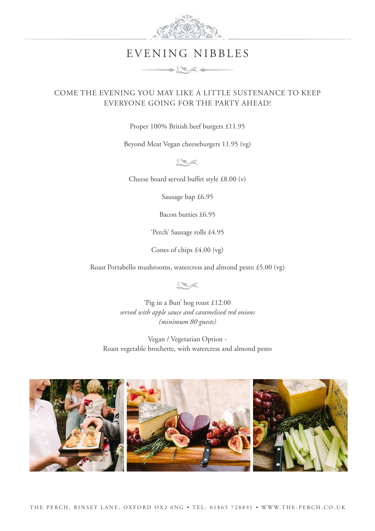

# EVENING NIBBLES

 $\frac{1}{2}$ 

## COME THE EVENING YOU MAY LIKE A LITTLE SUSTENANCE TO KEEP EVERYONE GOING FOR THE PARTY AHEAD!

Proper 100% British beef burgers £11.95

Beyond Meat Vegan cheeseburgers 11.95 (vg)

 $r$ 

Cheese board served buffet style £8.00 (v)

Sausage bap £6.95

Bacon butties £6.95

'Perch' Sausage rolls £4.95

Cones of chips £4.00 (vg)

Roast Portabello mushrooms, watercress and almond pesto £5.00 (vg)

 $\sim$ 

'Pig in a Bun' hog roast £12.00 *served with apple sauce and caramelised red onions (minimum 80 guests)*

Vegan / Vegetarian Option - Roast vegetable brochette, with watercress and almond pesto

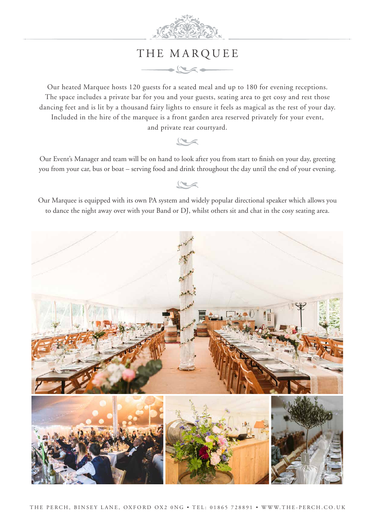

# THE MARQUEE

 $\rightarrow \infty$ 

Our heated Marquee hosts 120 guests for a seated meal and up to 180 for evening receptions. The space includes a private bar for you and your guests, seating area to get cosy and rest those dancing feet and is lit by a thousand fairy lights to ensure it feels as magical as the rest of your day. Included in the hire of the marquee is a front garden area reserved privately for your event, and private rear courtyard.

## $\sim$

Our Event's Manager and team will be on hand to look after you from start to finish on your day, greeting you from your car, bus or boat – serving food and drink throughout the day until the end of your evening.

Our Marquee is equipped with its own PA system and widely popular directional speaker which allows you to dance the night away over with your Band or DJ, whilst others sit and chat in the cosy seating area.



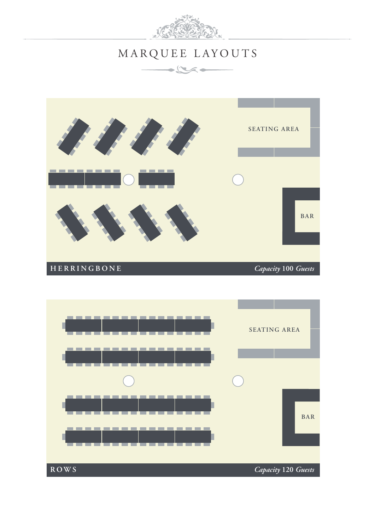

# MARQUEE LAYOUTS

 $\rightarrow \infty$ 



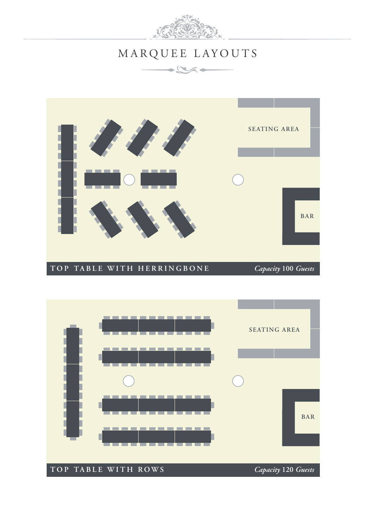

# MARQUEE LAYOUTS

 $\rightarrow \infty$ 



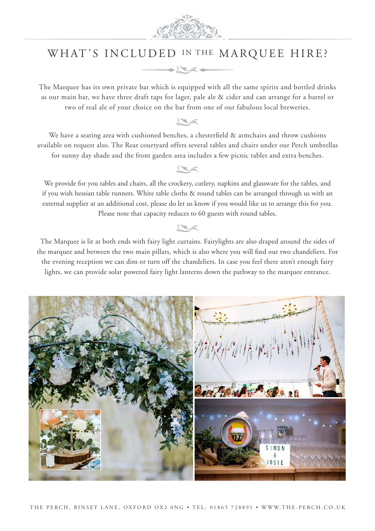

# WHAT'S INCLUDED IN THE MARQUEE HIRE?



The Marquee has its own private bar which is equipped with all the same spirits and bottled drinks as our main bar, we have three draft taps for lager, pale ale & cider and can arrange for a barrel or two of real ale of your choice on the bar from one of our fabulous local breweries.



We have a seating area with cushioned benches, a chesterfield & armchairs and throw cushions available on request also. The Rear courtyard offers several tables and chairs under our Perch umbrellas for sunny day shade and the front garden area includes a few picnic tables and extra benches.



We provide for you tables and chairs, all the crockery, cutlery, napkins and glassware for the tables, and if you wish hessian table runners. White table cloths & round tables can be arranged through us with an external supplier at an additional cost, please do let us know if you would like us to arrange this for you. Please note that capacity reduces to 60 guests with round tables.

The Marquee is lit at both ends with fairy light curtains. Fairylights are also draped around the sides of the marquee and between the two main pillars, which is also where you will find our two chandeliers. For the evening reception we can dim or turn off the chandeliers. In case you feel there aren't enough fairy lights, we can provide solar powered fairy light lanterns down the pathway to the marquee entrance.

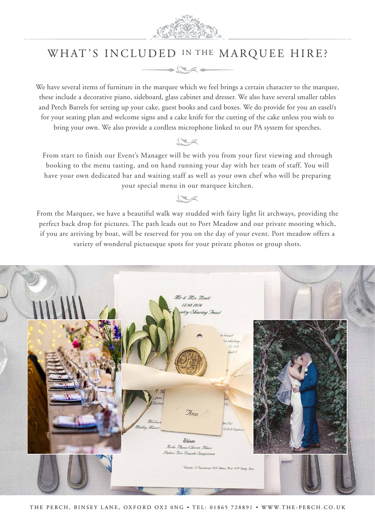

# WHAT'S INCLUDED IN THE MARQUEE HIRE?



We have several items of furniture in the marquee which we feel brings a certain character to the marquee, these include a decorative piano, sideboard, glass cabinet and dresser. We also have several smaller tables and Perch Barrels for setting up your cake, guest books and card boxes. We do provide for you an easel/s for your seating plan and welcome signs and a cake knife for the cutting of the cake unless you wish to bring your own. We also provide a cordless microphone linked to our PA system for speeches.

# $r$

From start to finish our Event's Manager will be with you from your first viewing and through booking to the menu tasting, and on hand running your day with her team of staff. You will have your own dedicated bar and waiting staff as well as your own chef who will be preparing your special menu in our marquee kitchen.

From the Marquee, we have a beautiful walk way studded with fairy light lit archways, providing the perfect back drop for pictures. The path leads out to Port Meadow and our private mooring which, if you are arriving by boat, will be reserved for you on the day of your event. Port meadow offers a variety of wonderul pictuesque spots for your private photos or group shots.